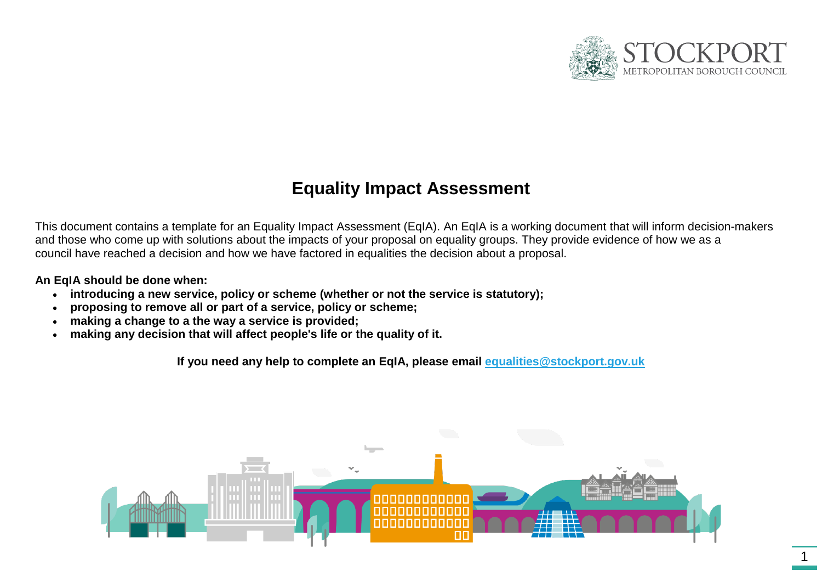

# **Equality Impact Assessment**

This document contains a template for an Equality Impact Assessment (EqIA). An EqIA is a working document that will inform decision-makers and those who come up with solutions about the impacts of your proposal on equality groups. They provide evidence of how we as a council have reached a decision and how we have factored in equalities the decision about a proposal.

**An EqIA should be done when:**

- **introducing a new service, policy or scheme (whether or not the service is statutory);**
- **proposing to remove all or part of a service, policy or scheme;**
- **making a change to a the way a service is provided;**
- **making any decision that will affect people's life or the quality of it.**

**If you need any help to complete an EqIA, please email [equalities@stockport.gov.uk](mailto:equalities@stockport.gov.uk)**

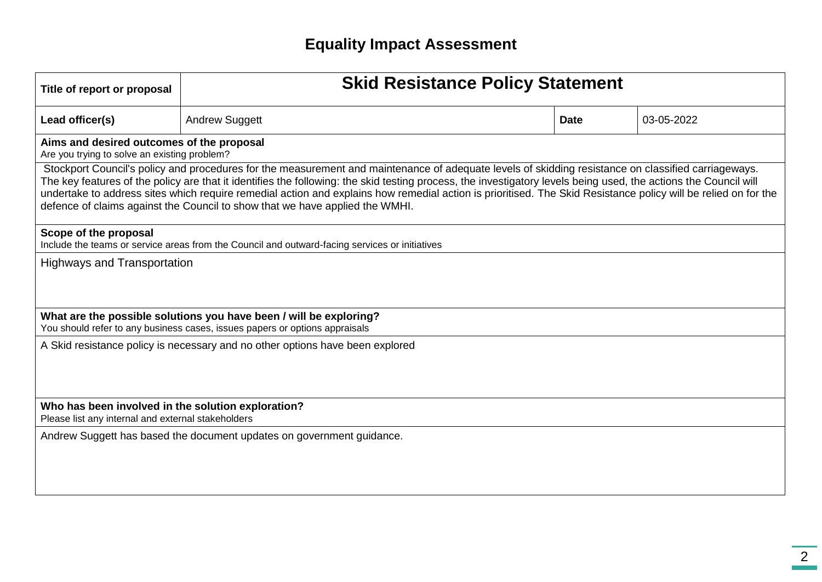| Title of report or proposal                                                                                                                                                                                                                                                                                                                                                                                                                                                                                                                                               | <b>Skid Resistance Policy Statement</b>                                                                                                           |  |             |            |  |  |  |  |  |
|---------------------------------------------------------------------------------------------------------------------------------------------------------------------------------------------------------------------------------------------------------------------------------------------------------------------------------------------------------------------------------------------------------------------------------------------------------------------------------------------------------------------------------------------------------------------------|---------------------------------------------------------------------------------------------------------------------------------------------------|--|-------------|------------|--|--|--|--|--|
| Lead officer(s)                                                                                                                                                                                                                                                                                                                                                                                                                                                                                                                                                           | <b>Andrew Suggett</b>                                                                                                                             |  | <b>Date</b> | 03-05-2022 |  |  |  |  |  |
| Aims and desired outcomes of the proposal<br>Are you trying to solve an existing problem?                                                                                                                                                                                                                                                                                                                                                                                                                                                                                 |                                                                                                                                                   |  |             |            |  |  |  |  |  |
| Stockport Council's policy and procedures for the measurement and maintenance of adequate levels of skidding resistance on classified carriageways.<br>The key features of the policy are that it identifies the following: the skid testing process, the investigatory levels being used, the actions the Council will<br>undertake to address sites which require remedial action and explains how remedial action is prioritised. The Skid Resistance policy will be relied on for the<br>defence of claims against the Council to show that we have applied the WMHI. |                                                                                                                                                   |  |             |            |  |  |  |  |  |
| Scope of the proposal                                                                                                                                                                                                                                                                                                                                                                                                                                                                                                                                                     | Include the teams or service areas from the Council and outward-facing services or initiatives                                                    |  |             |            |  |  |  |  |  |
| <b>Highways and Transportation</b>                                                                                                                                                                                                                                                                                                                                                                                                                                                                                                                                        |                                                                                                                                                   |  |             |            |  |  |  |  |  |
|                                                                                                                                                                                                                                                                                                                                                                                                                                                                                                                                                                           | What are the possible solutions you have been / will be exploring?<br>You should refer to any business cases, issues papers or options appraisals |  |             |            |  |  |  |  |  |
| A Skid resistance policy is necessary and no other options have been explored                                                                                                                                                                                                                                                                                                                                                                                                                                                                                             |                                                                                                                                                   |  |             |            |  |  |  |  |  |
| Who has been involved in the solution exploration?<br>Please list any internal and external stakeholders                                                                                                                                                                                                                                                                                                                                                                                                                                                                  |                                                                                                                                                   |  |             |            |  |  |  |  |  |
|                                                                                                                                                                                                                                                                                                                                                                                                                                                                                                                                                                           | Andrew Suggett has based the document updates on government guidance.                                                                             |  |             |            |  |  |  |  |  |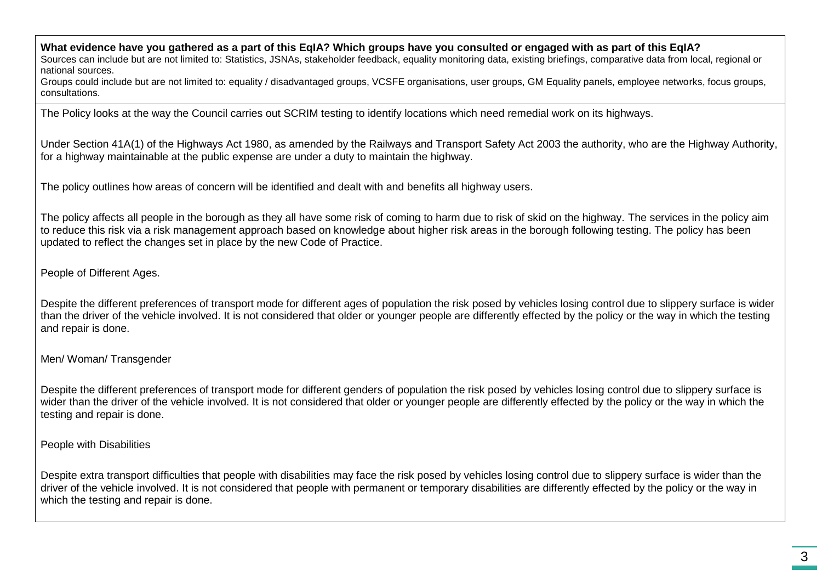**What evidence have you gathered as a part of this EqIA? Which groups have you consulted or engaged with as part of this EqIA?**

Sources can include but are not limited to: Statistics, JSNAs, stakeholder feedback, equality monitoring data, existing briefings, comparative data from local, regional or national sources.

Groups could include but are not limited to: equality / disadvantaged groups, VCSFE organisations, user groups, GM Equality panels, employee networks, focus groups, consultations.

The Policy looks at the way the Council carries out SCRIM testing to identify locations which need remedial work on its highways.

Under Section 41A(1) of the Highways Act 1980, as amended by the Railways and Transport Safety Act 2003 the authority, who are the Highway Authority, for a highway maintainable at the public expense are under a duty to maintain the highway.

The policy outlines how areas of concern will be identified and dealt with and benefits all highway users.

The policy affects all people in the borough as they all have some risk of coming to harm due to risk of skid on the highway. The services in the policy aim to reduce this risk via a risk management approach based on knowledge about higher risk areas in the borough following testing. The policy has been updated to reflect the changes set in place by the new Code of Practice.

People of Different Ages.

Despite the different preferences of transport mode for different ages of population the risk posed by vehicles losing control due to slippery surface is wider than the driver of the vehicle involved. It is not considered that older or younger people are differently effected by the policy or the way in which the testing and repair is done.

Men/ Woman/ Transgender

Despite the different preferences of transport mode for different genders of population the risk posed by vehicles losing control due to slippery surface is wider than the driver of the vehicle involved. It is not considered that older or younger people are differently effected by the policy or the way in which the testing and repair is done.

People with Disabilities

Despite extra transport difficulties that people with disabilities may face the risk posed by vehicles losing control due to slippery surface is wider than the driver of the vehicle involved. It is not considered that people with permanent or temporary disabilities are differently effected by the policy or the way in which the testing and repair is done.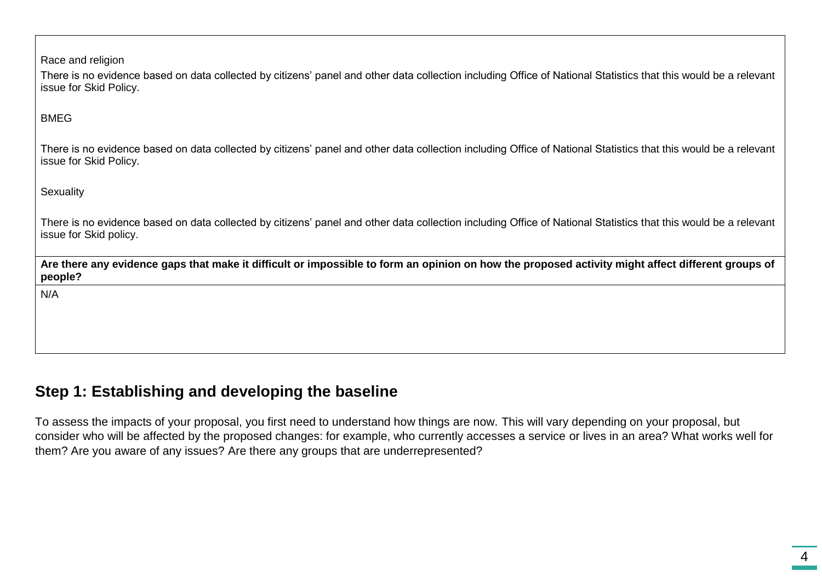| Race and religion<br>There is no evidence based on data collected by citizens' panel and other data collection including Office of National Statistics that this would be a relevant<br>issue for Skid Policy. |
|----------------------------------------------------------------------------------------------------------------------------------------------------------------------------------------------------------------|
| <b>BMEG</b>                                                                                                                                                                                                    |
| There is no evidence based on data collected by citizens' panel and other data collection including Office of National Statistics that this would be a relevant<br>issue for Skid Policy.                      |
| Sexuality                                                                                                                                                                                                      |
| There is no evidence based on data collected by citizens' panel and other data collection including Office of National Statistics that this would be a relevant<br>issue for Skid policy.                      |
| Are there any evidence gaps that make it difficult or impossible to form an opinion on how the proposed activity might affect different groups of<br>people?                                                   |
| N/A                                                                                                                                                                                                            |
|                                                                                                                                                                                                                |

## **Step 1: Establishing and developing the baseline**

To assess the impacts of your proposal, you first need to understand how things are now. This will vary depending on your proposal, but consider who will be affected by the proposed changes: for example, who currently accesses a service or lives in an area? What works well for them? Are you aware of any issues? Are there any groups that are underrepresented?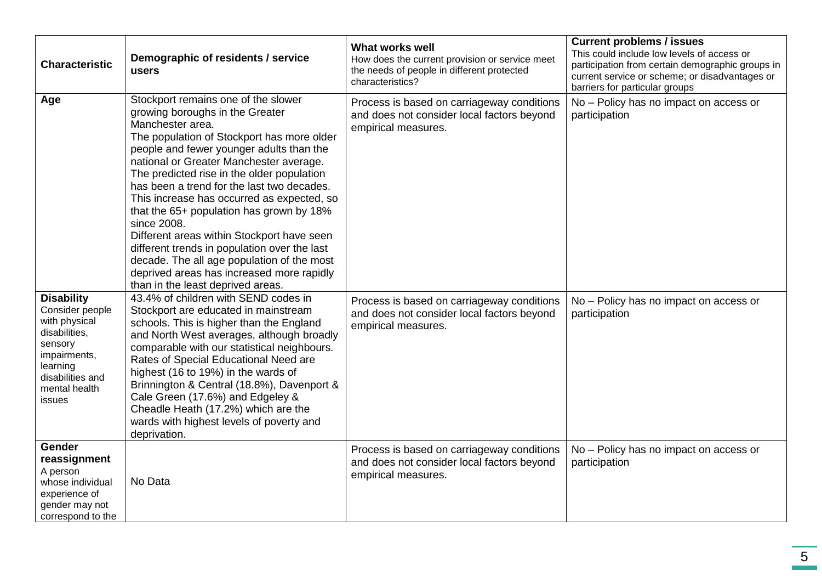| <b>Characteristic</b>                                                                                                                                        | Demographic of residents / service<br>users                                                                                                                                                                                                                                                                                                                                                                                                                                                                                                                                                                                                                        | <b>What works well</b><br>How does the current provision or service meet<br>the needs of people in different protected<br>characteristics? | <b>Current problems / issues</b><br>This could include low levels of access or<br>participation from certain demographic groups in<br>current service or scheme; or disadvantages or<br>barriers for particular groups |
|--------------------------------------------------------------------------------------------------------------------------------------------------------------|--------------------------------------------------------------------------------------------------------------------------------------------------------------------------------------------------------------------------------------------------------------------------------------------------------------------------------------------------------------------------------------------------------------------------------------------------------------------------------------------------------------------------------------------------------------------------------------------------------------------------------------------------------------------|--------------------------------------------------------------------------------------------------------------------------------------------|------------------------------------------------------------------------------------------------------------------------------------------------------------------------------------------------------------------------|
| Age                                                                                                                                                          | Stockport remains one of the slower<br>growing boroughs in the Greater<br>Manchester area.<br>The population of Stockport has more older<br>people and fewer younger adults than the<br>national or Greater Manchester average.<br>The predicted rise in the older population<br>has been a trend for the last two decades.<br>This increase has occurred as expected, so<br>that the 65+ population has grown by 18%<br>since 2008.<br>Different areas within Stockport have seen<br>different trends in population over the last<br>decade. The all age population of the most<br>deprived areas has increased more rapidly<br>than in the least deprived areas. | Process is based on carriageway conditions<br>and does not consider local factors beyond<br>empirical measures.                            | No - Policy has no impact on access or<br>participation                                                                                                                                                                |
| <b>Disability</b><br>Consider people<br>with physical<br>disabilities,<br>sensory<br>impairments,<br>learning<br>disabilities and<br>mental health<br>issues | 43.4% of children with SEND codes in<br>Stockport are educated in mainstream<br>schools. This is higher than the England<br>and North West averages, although broadly<br>comparable with our statistical neighbours.<br>Rates of Special Educational Need are<br>highest (16 to 19%) in the wards of<br>Brinnington & Central (18.8%), Davenport &<br>Cale Green (17.6%) and Edgeley &<br>Cheadle Heath (17.2%) which are the<br>wards with highest levels of poverty and<br>deprivation.                                                                                                                                                                          | Process is based on carriageway conditions<br>and does not consider local factors beyond<br>empirical measures.                            | No - Policy has no impact on access or<br>participation                                                                                                                                                                |
| <b>Gender</b><br>reassignment<br>A person<br>whose individual<br>experience of<br>gender may not<br>correspond to the                                        | No Data                                                                                                                                                                                                                                                                                                                                                                                                                                                                                                                                                                                                                                                            | Process is based on carriageway conditions<br>and does not consider local factors beyond<br>empirical measures.                            | No - Policy has no impact on access or<br>participation                                                                                                                                                                |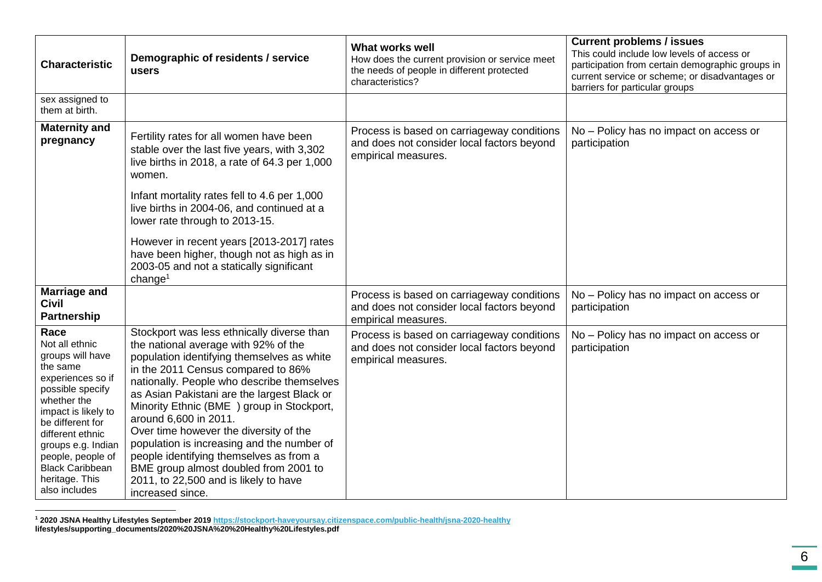| <b>Characteristic</b>                                                                                                                                                                                                                                                                 | Demographic of residents / service<br>users                                                                                                                                                                                                                                                                                                                                                                                                                                                                                                                                        | <b>What works well</b><br>How does the current provision or service meet<br>the needs of people in different protected<br>characteristics? | <b>Current problems / issues</b><br>This could include low levels of access or<br>participation from certain demographic groups in<br>current service or scheme; or disadvantages or<br>barriers for particular groups |
|---------------------------------------------------------------------------------------------------------------------------------------------------------------------------------------------------------------------------------------------------------------------------------------|------------------------------------------------------------------------------------------------------------------------------------------------------------------------------------------------------------------------------------------------------------------------------------------------------------------------------------------------------------------------------------------------------------------------------------------------------------------------------------------------------------------------------------------------------------------------------------|--------------------------------------------------------------------------------------------------------------------------------------------|------------------------------------------------------------------------------------------------------------------------------------------------------------------------------------------------------------------------|
| sex assigned to<br>them at birth.                                                                                                                                                                                                                                                     |                                                                                                                                                                                                                                                                                                                                                                                                                                                                                                                                                                                    |                                                                                                                                            |                                                                                                                                                                                                                        |
| <b>Maternity and</b><br>pregnancy                                                                                                                                                                                                                                                     | Fertility rates for all women have been<br>stable over the last five years, with 3,302<br>live births in 2018, a rate of 64.3 per 1,000<br>women.                                                                                                                                                                                                                                                                                                                                                                                                                                  | Process is based on carriageway conditions<br>and does not consider local factors beyond<br>empirical measures.                            | No - Policy has no impact on access or<br>participation                                                                                                                                                                |
|                                                                                                                                                                                                                                                                                       | Infant mortality rates fell to 4.6 per 1,000<br>live births in 2004-06, and continued at a<br>lower rate through to 2013-15.                                                                                                                                                                                                                                                                                                                                                                                                                                                       |                                                                                                                                            |                                                                                                                                                                                                                        |
|                                                                                                                                                                                                                                                                                       | However in recent years [2013-2017] rates<br>have been higher, though not as high as in<br>2003-05 and not a statically significant<br>change <sup>1</sup>                                                                                                                                                                                                                                                                                                                                                                                                                         |                                                                                                                                            |                                                                                                                                                                                                                        |
| <b>Marriage and</b><br><b>Civil</b><br>Partnership                                                                                                                                                                                                                                    |                                                                                                                                                                                                                                                                                                                                                                                                                                                                                                                                                                                    | Process is based on carriageway conditions<br>and does not consider local factors beyond<br>empirical measures.                            | No - Policy has no impact on access or<br>participation                                                                                                                                                                |
| Race<br>Not all ethnic<br>groups will have<br>the same<br>experiences so if<br>possible specify<br>whether the<br>impact is likely to<br>be different for<br>different ethnic<br>groups e.g. Indian<br>people, people of<br><b>Black Caribbean</b><br>heritage. This<br>also includes | Stockport was less ethnically diverse than<br>the national average with 92% of the<br>population identifying themselves as white<br>in the 2011 Census compared to 86%<br>nationally. People who describe themselves<br>as Asian Pakistani are the largest Black or<br>Minority Ethnic (BME) group in Stockport,<br>around 6,600 in 2011.<br>Over time however the diversity of the<br>population is increasing and the number of<br>people identifying themselves as from a<br>BME group almost doubled from 2001 to<br>2011, to 22,500 and is likely to have<br>increased since. | Process is based on carriageway conditions<br>and does not consider local factors beyond<br>empirical measures.                            | No - Policy has no impact on access or<br>participation                                                                                                                                                                |

 $\overline{a}$ **<sup>1</sup> 2020 JSNA Healthy Lifestyles September 2019 <https://stockport-haveyoursay.citizenspace.com/public-health/jsna-2020-healthy> lifestyles/supporting\_documents/2020%20JSNA%20%20Healthy%20Lifestyles.pdf**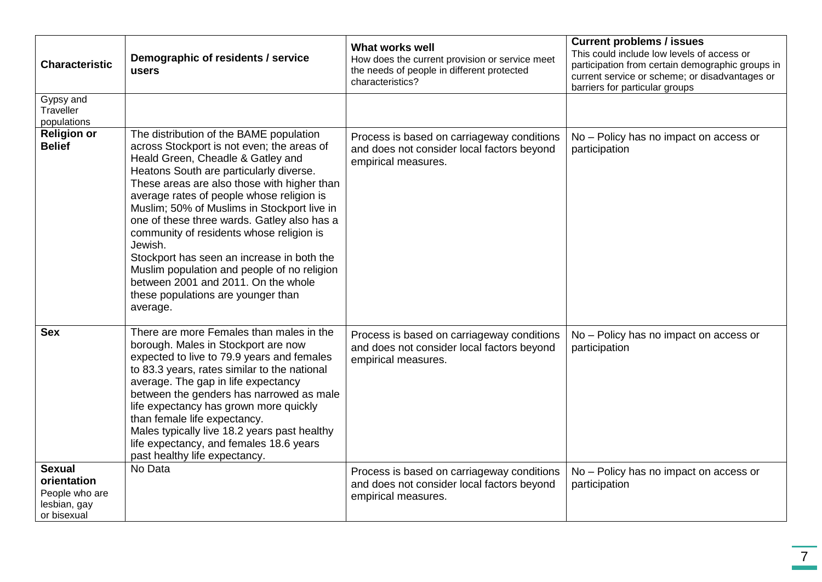| <b>Characteristic</b>                                                         | Demographic of residents / service<br>users                                                                                                                                                                                                                                                                                                                                                                                                                                                                                                                                                                  | <b>What works well</b><br>How does the current provision or service meet<br>the needs of people in different protected<br>characteristics? | <b>Current problems / issues</b><br>This could include low levels of access or<br>participation from certain demographic groups in<br>current service or scheme; or disadvantages or<br>barriers for particular groups |
|-------------------------------------------------------------------------------|--------------------------------------------------------------------------------------------------------------------------------------------------------------------------------------------------------------------------------------------------------------------------------------------------------------------------------------------------------------------------------------------------------------------------------------------------------------------------------------------------------------------------------------------------------------------------------------------------------------|--------------------------------------------------------------------------------------------------------------------------------------------|------------------------------------------------------------------------------------------------------------------------------------------------------------------------------------------------------------------------|
| Gypsy and<br>Traveller<br>populations                                         |                                                                                                                                                                                                                                                                                                                                                                                                                                                                                                                                                                                                              |                                                                                                                                            |                                                                                                                                                                                                                        |
| <b>Religion or</b><br><b>Belief</b>                                           | The distribution of the BAME population<br>across Stockport is not even; the areas of<br>Heald Green, Cheadle & Gatley and<br>Heatons South are particularly diverse.<br>These areas are also those with higher than<br>average rates of people whose religion is<br>Muslim; 50% of Muslims in Stockport live in<br>one of these three wards. Gatley also has a<br>community of residents whose religion is<br>Jewish.<br>Stockport has seen an increase in both the<br>Muslim population and people of no religion<br>between 2001 and 2011. On the whole<br>these populations are younger than<br>average. | Process is based on carriageway conditions<br>and does not consider local factors beyond<br>empirical measures.                            | No - Policy has no impact on access or<br>participation                                                                                                                                                                |
| <b>Sex</b>                                                                    | There are more Females than males in the<br>borough. Males in Stockport are now<br>expected to live to 79.9 years and females<br>to 83.3 years, rates similar to the national<br>average. The gap in life expectancy<br>between the genders has narrowed as male<br>life expectancy has grown more quickly<br>than female life expectancy.<br>Males typically live 18.2 years past healthy<br>life expectancy, and females 18.6 years<br>past healthy life expectancy.                                                                                                                                       | Process is based on carriageway conditions<br>and does not consider local factors beyond<br>empirical measures.                            | No - Policy has no impact on access or<br>participation                                                                                                                                                                |
| <b>Sexual</b><br>orientation<br>People who are<br>lesbian, gay<br>or bisexual | No Data                                                                                                                                                                                                                                                                                                                                                                                                                                                                                                                                                                                                      | Process is based on carriageway conditions<br>and does not consider local factors beyond<br>empirical measures.                            | No - Policy has no impact on access or<br>participation                                                                                                                                                                |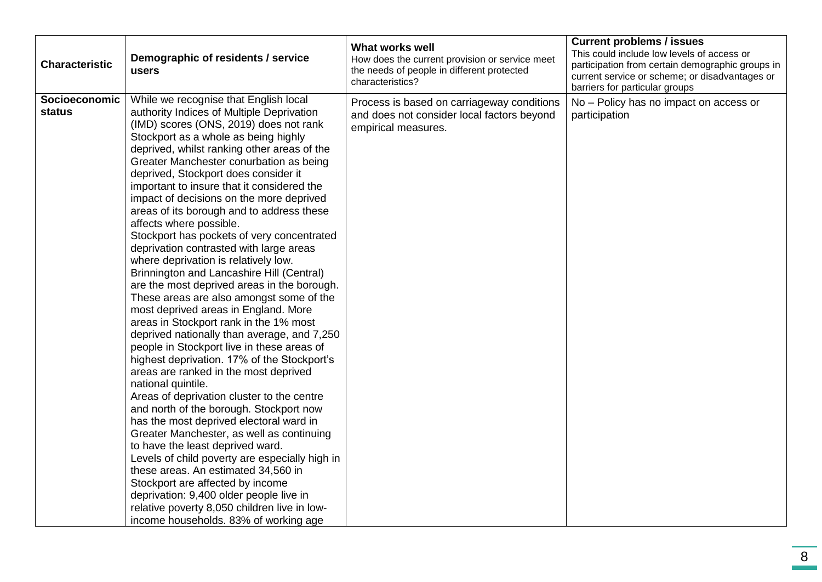| <b>Characteristic</b>          | Demographic of residents / service<br>users                                                                                                                                                                                                                                                                                                                                                                                                                                                                                                                                                                                                                                                                                                                                                                                                                                                                                                                                                                                                                                                                                                                                                                                                                                                                                                                                                                                                                                                 | What works well<br>How does the current provision or service meet<br>the needs of people in different protected<br>characteristics? | <b>Current problems / issues</b><br>This could include low levels of access or<br>participation from certain demographic groups in<br>current service or scheme; or disadvantages or<br>barriers for particular groups |
|--------------------------------|---------------------------------------------------------------------------------------------------------------------------------------------------------------------------------------------------------------------------------------------------------------------------------------------------------------------------------------------------------------------------------------------------------------------------------------------------------------------------------------------------------------------------------------------------------------------------------------------------------------------------------------------------------------------------------------------------------------------------------------------------------------------------------------------------------------------------------------------------------------------------------------------------------------------------------------------------------------------------------------------------------------------------------------------------------------------------------------------------------------------------------------------------------------------------------------------------------------------------------------------------------------------------------------------------------------------------------------------------------------------------------------------------------------------------------------------------------------------------------------------|-------------------------------------------------------------------------------------------------------------------------------------|------------------------------------------------------------------------------------------------------------------------------------------------------------------------------------------------------------------------|
| Socioeconomic<br><b>status</b> | While we recognise that English local<br>authority Indices of Multiple Deprivation<br>(IMD) scores (ONS, 2019) does not rank<br>Stockport as a whole as being highly<br>deprived, whilst ranking other areas of the<br>Greater Manchester conurbation as being<br>deprived, Stockport does consider it<br>important to insure that it considered the<br>impact of decisions on the more deprived<br>areas of its borough and to address these<br>affects where possible.<br>Stockport has pockets of very concentrated<br>deprivation contrasted with large areas<br>where deprivation is relatively low.<br>Brinnington and Lancashire Hill (Central)<br>are the most deprived areas in the borough.<br>These areas are also amongst some of the<br>most deprived areas in England. More<br>areas in Stockport rank in the 1% most<br>deprived nationally than average, and 7,250<br>people in Stockport live in these areas of<br>highest deprivation. 17% of the Stockport's<br>areas are ranked in the most deprived<br>national quintile.<br>Areas of deprivation cluster to the centre<br>and north of the borough. Stockport now<br>has the most deprived electoral ward in<br>Greater Manchester, as well as continuing<br>to have the least deprived ward.<br>Levels of child poverty are especially high in<br>these areas. An estimated 34,560 in<br>Stockport are affected by income<br>deprivation: 9,400 older people live in<br>relative poverty 8,050 children live in low- | Process is based on carriageway conditions<br>and does not consider local factors beyond<br>empirical measures.                     | No - Policy has no impact on access or<br>participation                                                                                                                                                                |
|                                | income households. 83% of working age                                                                                                                                                                                                                                                                                                                                                                                                                                                                                                                                                                                                                                                                                                                                                                                                                                                                                                                                                                                                                                                                                                                                                                                                                                                                                                                                                                                                                                                       |                                                                                                                                     |                                                                                                                                                                                                                        |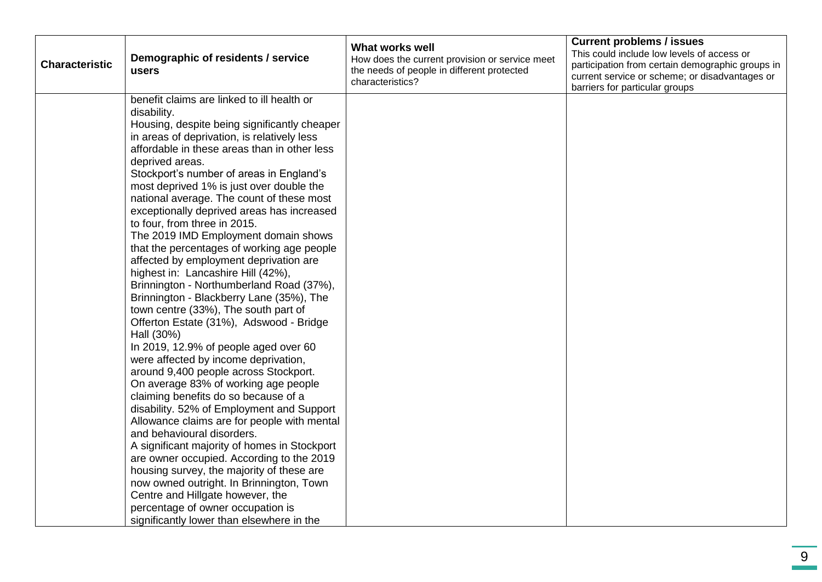| <b>Characteristic</b> | Demographic of residents / service<br>users                                                                                                                                                                                                                                                                                                                                                                                                                                                                                                                                                                                                                                                                                                                                                                                                                                                                                                                                                                                                                                                                                                                                                                                                                                                                                                                                                                      | <b>What works well</b><br>How does the current provision or service meet<br>the needs of people in different protected<br>characteristics? | <b>Current problems / issues</b><br>This could include low levels of access or<br>participation from certain demographic groups in<br>current service or scheme; or disadvantages or<br>barriers for particular groups |
|-----------------------|------------------------------------------------------------------------------------------------------------------------------------------------------------------------------------------------------------------------------------------------------------------------------------------------------------------------------------------------------------------------------------------------------------------------------------------------------------------------------------------------------------------------------------------------------------------------------------------------------------------------------------------------------------------------------------------------------------------------------------------------------------------------------------------------------------------------------------------------------------------------------------------------------------------------------------------------------------------------------------------------------------------------------------------------------------------------------------------------------------------------------------------------------------------------------------------------------------------------------------------------------------------------------------------------------------------------------------------------------------------------------------------------------------------|--------------------------------------------------------------------------------------------------------------------------------------------|------------------------------------------------------------------------------------------------------------------------------------------------------------------------------------------------------------------------|
|                       | benefit claims are linked to ill health or<br>disability.<br>Housing, despite being significantly cheaper<br>in areas of deprivation, is relatively less<br>affordable in these areas than in other less<br>deprived areas.<br>Stockport's number of areas in England's<br>most deprived 1% is just over double the<br>national average. The count of these most<br>exceptionally deprived areas has increased<br>to four, from three in 2015.<br>The 2019 IMD Employment domain shows<br>that the percentages of working age people<br>affected by employment deprivation are<br>highest in: Lancashire Hill (42%),<br>Brinnington - Northumberland Road (37%),<br>Brinnington - Blackberry Lane (35%), The<br>town centre (33%), The south part of<br>Offerton Estate (31%), Adswood - Bridge<br>Hall (30%)<br>In 2019, 12.9% of people aged over 60<br>were affected by income deprivation,<br>around 9,400 people across Stockport.<br>On average 83% of working age people<br>claiming benefits do so because of a<br>disability. 52% of Employment and Support<br>Allowance claims are for people with mental<br>and behavioural disorders.<br>A significant majority of homes in Stockport<br>are owner occupied. According to the 2019<br>housing survey, the majority of these are<br>now owned outright. In Brinnington, Town<br>Centre and Hillgate however, the<br>percentage of owner occupation is |                                                                                                                                            |                                                                                                                                                                                                                        |
|                       | significantly lower than elsewhere in the                                                                                                                                                                                                                                                                                                                                                                                                                                                                                                                                                                                                                                                                                                                                                                                                                                                                                                                                                                                                                                                                                                                                                                                                                                                                                                                                                                        |                                                                                                                                            |                                                                                                                                                                                                                        |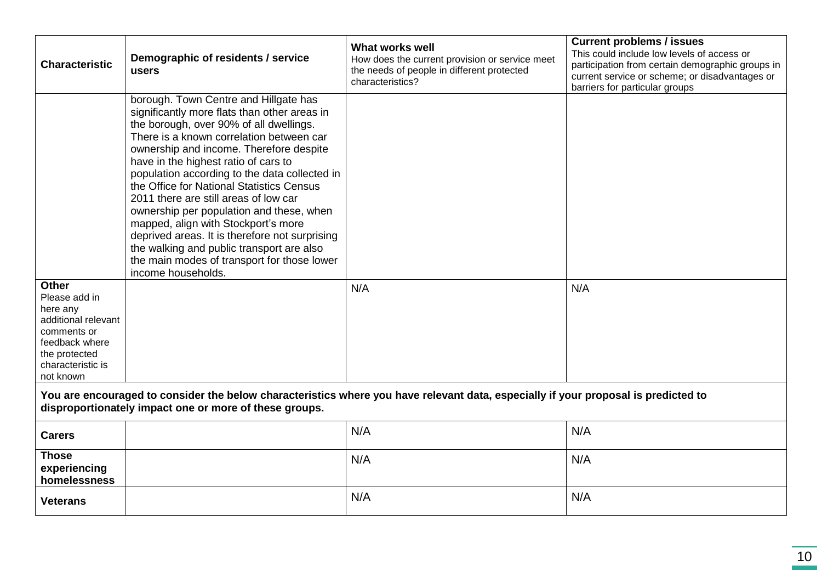| <b>Characteristic</b>                                                                                                                                                                        | Demographic of residents / service<br>users                                                                                                                                                                                                                                                                                                                                                                                                                                                                                                                                                                                                                   | <b>What works well</b><br>How does the current provision or service meet<br>the needs of people in different protected<br>characteristics? | <b>Current problems / issues</b><br>This could include low levels of access or<br>participation from certain demographic groups in<br>current service or scheme; or disadvantages or<br>barriers for particular groups |  |  |  |
|----------------------------------------------------------------------------------------------------------------------------------------------------------------------------------------------|---------------------------------------------------------------------------------------------------------------------------------------------------------------------------------------------------------------------------------------------------------------------------------------------------------------------------------------------------------------------------------------------------------------------------------------------------------------------------------------------------------------------------------------------------------------------------------------------------------------------------------------------------------------|--------------------------------------------------------------------------------------------------------------------------------------------|------------------------------------------------------------------------------------------------------------------------------------------------------------------------------------------------------------------------|--|--|--|
|                                                                                                                                                                                              | borough. Town Centre and Hillgate has<br>significantly more flats than other areas in<br>the borough, over 90% of all dwellings.<br>There is a known correlation between car<br>ownership and income. Therefore despite<br>have in the highest ratio of cars to<br>population according to the data collected in<br>the Office for National Statistics Census<br>2011 there are still areas of low car<br>ownership per population and these, when<br>mapped, align with Stockport's more<br>deprived areas. It is therefore not surprising<br>the walking and public transport are also<br>the main modes of transport for those lower<br>income households. |                                                                                                                                            |                                                                                                                                                                                                                        |  |  |  |
| <b>Other</b><br>Please add in<br>here any<br>additional relevant<br>comments or<br>feedback where<br>the protected<br>characteristic is<br>not known                                         |                                                                                                                                                                                                                                                                                                                                                                                                                                                                                                                                                                                                                                                               | N/A                                                                                                                                        | N/A                                                                                                                                                                                                                    |  |  |  |
| You are encouraged to consider the below characteristics where you have relevant data, especially if your proposal is predicted to<br>disproportionately impact one or more of these groups. |                                                                                                                                                                                                                                                                                                                                                                                                                                                                                                                                                                                                                                                               |                                                                                                                                            |                                                                                                                                                                                                                        |  |  |  |
| <b>Carers</b>                                                                                                                                                                                |                                                                                                                                                                                                                                                                                                                                                                                                                                                                                                                                                                                                                                                               | N/A                                                                                                                                        | N/A                                                                                                                                                                                                                    |  |  |  |
| <b>Those</b><br>experiencing<br>homelessness                                                                                                                                                 |                                                                                                                                                                                                                                                                                                                                                                                                                                                                                                                                                                                                                                                               | N/A                                                                                                                                        | N/A                                                                                                                                                                                                                    |  |  |  |
| <b>Veterans</b>                                                                                                                                                                              |                                                                                                                                                                                                                                                                                                                                                                                                                                                                                                                                                                                                                                                               | N/A                                                                                                                                        | N/A                                                                                                                                                                                                                    |  |  |  |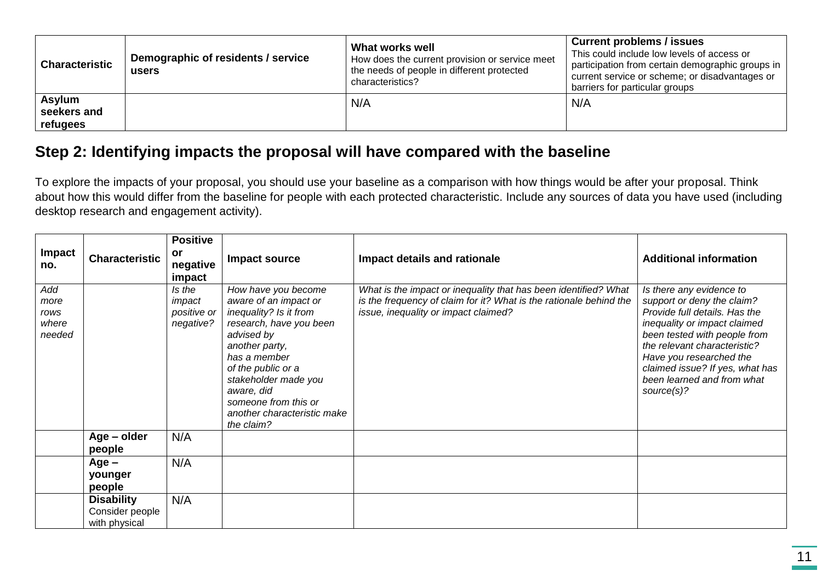| <b>Characteristic</b>                    | Demographic of residents / service<br>users | What works well<br>How does the current provision or service meet<br>the needs of people in different protected<br>characteristics? | <b>Current problems / issues</b><br>This could include low levels of access or<br>participation from certain demographic groups in<br>current service or scheme; or disadvantages or<br>barriers for particular groups |
|------------------------------------------|---------------------------------------------|-------------------------------------------------------------------------------------------------------------------------------------|------------------------------------------------------------------------------------------------------------------------------------------------------------------------------------------------------------------------|
| <b>Asylum</b><br>seekers and<br>refugees |                                             | N/A                                                                                                                                 | N/A                                                                                                                                                                                                                    |

### **Step 2: Identifying impacts the proposal will have compared with the baseline**

To explore the impacts of your proposal, you should use your baseline as a comparison with how things would be after your proposal. Think about how this would differ from the baseline for people with each protected characteristic. Include any sources of data you have used (including desktop research and engagement activity).

| <b>Impact</b><br>no.                   | <b>Characteristic</b>                                 | <b>Positive</b><br>or<br>negative                      | Impact source                                                                                                                                                                                                                                                                      | Impact details and rationale                                                                                                                                                  | <b>Additional information</b>                                                                                                                                                                                                                                                                     |
|----------------------------------------|-------------------------------------------------------|--------------------------------------------------------|------------------------------------------------------------------------------------------------------------------------------------------------------------------------------------------------------------------------------------------------------------------------------------|-------------------------------------------------------------------------------------------------------------------------------------------------------------------------------|---------------------------------------------------------------------------------------------------------------------------------------------------------------------------------------------------------------------------------------------------------------------------------------------------|
| Add<br>more<br>rows<br>where<br>needed |                                                       | impact<br>Is the<br>impact<br>positive or<br>negative? | How have you become<br>aware of an impact or<br>inequality? Is it from<br>research, have you been<br>advised by<br>another party,<br>has a member<br>of the public or a<br>stakeholder made you<br>aware, did<br>someone from this or<br>another characteristic make<br>the claim? | What is the impact or inequality that has been identified? What<br>is the frequency of claim for it? What is the rationale behind the<br>issue, inequality or impact claimed? | Is there any evidence to<br>support or deny the claim?<br>Provide full details. Has the<br>inequality or impact claimed<br>been tested with people from<br>the relevant characteristic?<br>Have you researched the<br>claimed issue? If yes, what has<br>been learned and from what<br>source(s)? |
|                                        | Age – older<br>people                                 | N/A                                                    |                                                                                                                                                                                                                                                                                    |                                                                                                                                                                               |                                                                                                                                                                                                                                                                                                   |
|                                        | $Age -$<br>younger<br>people                          | N/A                                                    |                                                                                                                                                                                                                                                                                    |                                                                                                                                                                               |                                                                                                                                                                                                                                                                                                   |
|                                        | <b>Disability</b><br>Consider people<br>with physical | N/A                                                    |                                                                                                                                                                                                                                                                                    |                                                                                                                                                                               |                                                                                                                                                                                                                                                                                                   |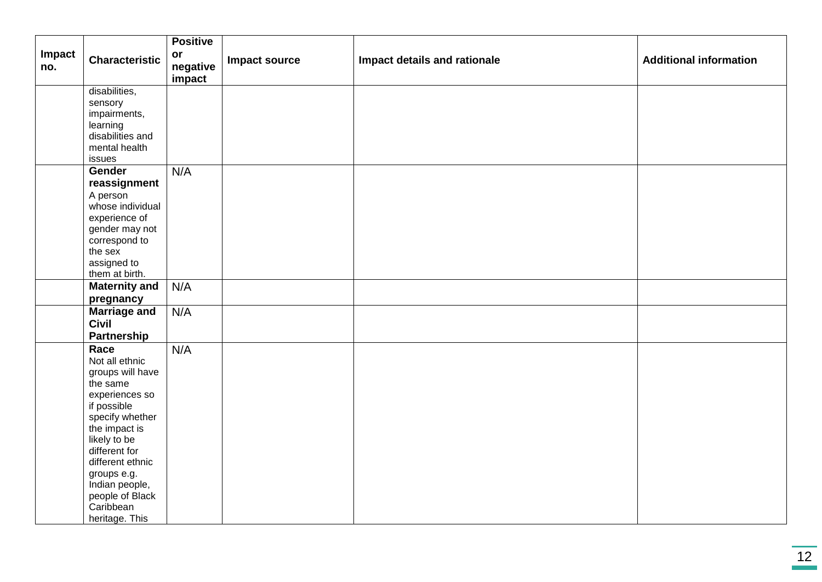|               |                                   | <b>Positive</b>          |               |                              |                               |
|---------------|-----------------------------------|--------------------------|---------------|------------------------------|-------------------------------|
| Impact<br>no. | <b>Characteristic</b>             | or<br>negative<br>impact | Impact source | Impact details and rationale | <b>Additional information</b> |
|               | disabilities,                     |                          |               |                              |                               |
|               | sensory                           |                          |               |                              |                               |
|               | impairments,                      |                          |               |                              |                               |
|               | learning<br>disabilities and      |                          |               |                              |                               |
|               | mental health                     |                          |               |                              |                               |
|               | issues                            |                          |               |                              |                               |
|               | Gender                            | N/A                      |               |                              |                               |
|               | reassignment                      |                          |               |                              |                               |
|               | A person                          |                          |               |                              |                               |
|               | whose individual                  |                          |               |                              |                               |
|               | experience of                     |                          |               |                              |                               |
|               | gender may not                    |                          |               |                              |                               |
|               | correspond to<br>the sex          |                          |               |                              |                               |
|               | assigned to                       |                          |               |                              |                               |
|               | them at birth.                    |                          |               |                              |                               |
|               | <b>Maternity and</b>              | N/A                      |               |                              |                               |
|               | pregnancy                         |                          |               |                              |                               |
|               | <b>Marriage and</b>               | N/A                      |               |                              |                               |
|               | <b>Civil</b>                      |                          |               |                              |                               |
|               | Partnership                       |                          |               |                              |                               |
|               | Race                              | N/A                      |               |                              |                               |
|               | Not all ethnic                    |                          |               |                              |                               |
|               | groups will have<br>the same      |                          |               |                              |                               |
|               | experiences so                    |                          |               |                              |                               |
|               | if possible                       |                          |               |                              |                               |
|               | specify whether                   |                          |               |                              |                               |
|               | the impact is                     |                          |               |                              |                               |
|               | likely to be                      |                          |               |                              |                               |
|               | different for<br>different ethnic |                          |               |                              |                               |
|               | groups e.g.                       |                          |               |                              |                               |
|               | Indian people,                    |                          |               |                              |                               |
|               | people of Black                   |                          |               |                              |                               |
|               | Caribbean                         |                          |               |                              |                               |
|               | heritage. This                    |                          |               |                              |                               |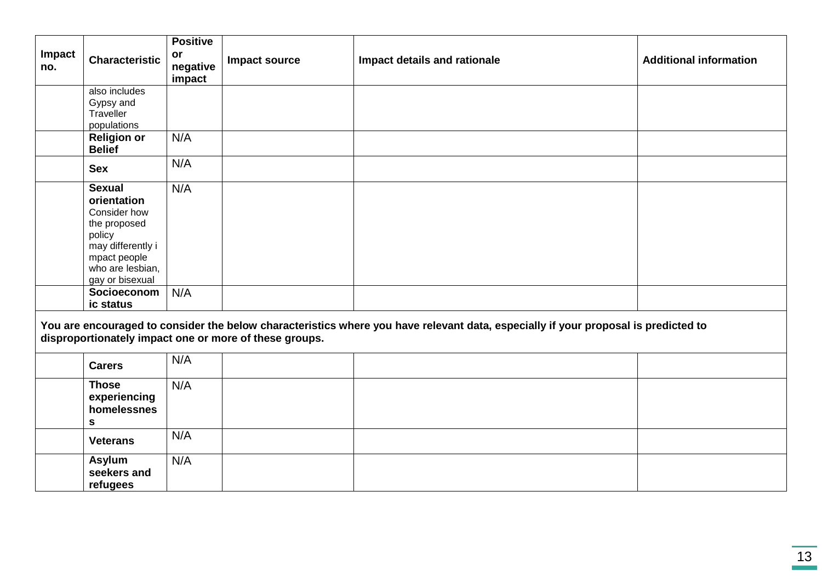| Impact<br>no. | <b>Characteristic</b>                                                                                                                              | <b>Positive</b><br><b>or</b><br>negative<br>impact | Impact source                                          | Impact details and rationale                                                                                                       | <b>Additional information</b> |
|---------------|----------------------------------------------------------------------------------------------------------------------------------------------------|----------------------------------------------------|--------------------------------------------------------|------------------------------------------------------------------------------------------------------------------------------------|-------------------------------|
|               | also includes<br>Gypsy and<br>Traveller<br>populations                                                                                             |                                                    |                                                        |                                                                                                                                    |                               |
|               | <b>Religion or</b><br><b>Belief</b>                                                                                                                | N/A                                                |                                                        |                                                                                                                                    |                               |
|               | <b>Sex</b>                                                                                                                                         | N/A                                                |                                                        |                                                                                                                                    |                               |
|               | <b>Sexual</b><br>orientation<br>Consider how<br>the proposed<br>policy<br>may differently i<br>mpact people<br>who are lesbian,<br>gay or bisexual | N/A                                                |                                                        |                                                                                                                                    |                               |
|               | Socioeconom<br>ic status                                                                                                                           | N/A                                                |                                                        |                                                                                                                                    |                               |
|               |                                                                                                                                                    |                                                    | disproportionately impact one or more of these groups. | You are encouraged to consider the below characteristics where you have relevant data, especially if your proposal is predicted to |                               |
|               | <b>Carers</b>                                                                                                                                      | N/A                                                |                                                        |                                                                                                                                    |                               |
|               | <b>Those</b><br>experiencing<br>homelessnes<br>$\mathbf S$                                                                                         | N/A                                                |                                                        |                                                                                                                                    |                               |
|               | <b>Veterans</b>                                                                                                                                    | N/A                                                |                                                        |                                                                                                                                    |                               |
|               | Asylum<br>seekers and<br>refugees                                                                                                                  | N/A                                                |                                                        |                                                                                                                                    |                               |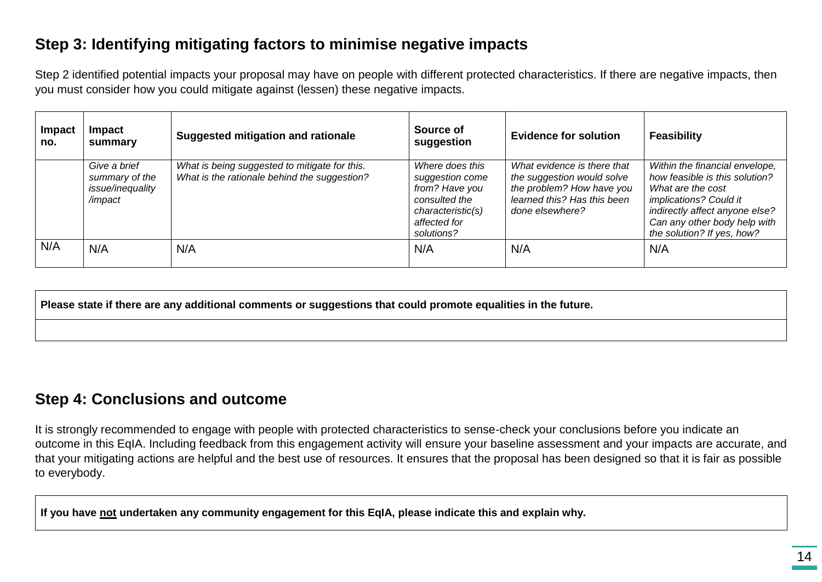#### **Step 3: Identifying mitigating factors to minimise negative impacts**

Step 2 identified potential impacts your proposal may have on people with different protected characteristics. If there are negative impacts, then you must consider how you could mitigate against (lessen) these negative impacts.

| Impact<br>no. | <b>Impact</b><br>summary                                      | Suggested mitigation and rationale                                                            | Source of<br>suggestion                                                                                                  | <b>Evidence for solution</b>                                                                                                             | <b>Feasibility</b>                                                                                                                                                                                              |
|---------------|---------------------------------------------------------------|-----------------------------------------------------------------------------------------------|--------------------------------------------------------------------------------------------------------------------------|------------------------------------------------------------------------------------------------------------------------------------------|-----------------------------------------------------------------------------------------------------------------------------------------------------------------------------------------------------------------|
|               | Give a brief<br>summary of the<br>issue/inequality<br>/impact | What is being suggested to mitigate for this.<br>What is the rationale behind the suggestion? | Where does this<br>suggestion come<br>from? Have you<br>consulted the<br>characteristic(s)<br>affected for<br>solutions? | What evidence is there that<br>the suggestion would solve<br>the problem? How have you<br>learned this? Has this been<br>done elsewhere? | Within the financial envelope,<br>how feasible is this solution?<br>What are the cost<br>implications? Could it<br>indirectly affect anyone else?<br>Can any other body help with<br>the solution? If yes, how? |
| N/A           | N/A                                                           | N/A                                                                                           | N/A                                                                                                                      | N/A                                                                                                                                      | N/A                                                                                                                                                                                                             |

**Please state if there are any additional comments or suggestions that could promote equalities in the future.**

#### **Step 4: Conclusions and outcome**

It is strongly recommended to engage with people with protected characteristics to sense-check your conclusions before you indicate an outcome in this EqIA. Including feedback from this engagement activity will ensure your baseline assessment and your impacts are accurate, and that your mitigating actions are helpful and the best use of resources. It ensures that the proposal has been designed so that it is fair as possible to everybody.

**If you have not undertaken any community engagement for this EqIA, please indicate this and explain why.**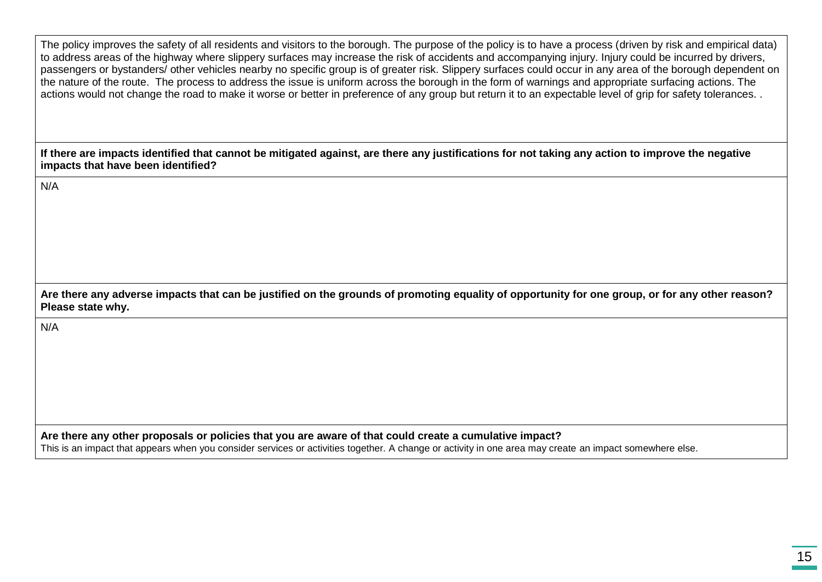The policy improves the safety of all residents and visitors to the borough. The purpose of the policy is to have a process (driven by risk and empirical data) to address areas of the highway where slippery surfaces may increase the risk of accidents and accompanying injury. Injury could be incurred by drivers, passengers or bystanders/ other vehicles nearby no specific group is of greater risk. Slippery surfaces could occur in any area of the borough dependent on the nature of the route. The process to address the issue is uniform across the borough in the form of warnings and appropriate surfacing actions. The actions would not change the road to make it worse or better in preference of any group but return it to an expectable level of grip for safety tolerances. .

**If there are impacts identified that cannot be mitigated against, are there any justifications for not taking any action to improve the negative impacts that have been identified?**

N/A

| Are there any adverse impacts that can be justified on the grounds of promoting equality of opportunity for one group, or for any other reason? |  |
|-------------------------------------------------------------------------------------------------------------------------------------------------|--|
| Please state why.                                                                                                                               |  |

N/A

**Are there any other proposals or policies that you are aware of that could create a cumulative impact?**

This is an impact that appears when you consider services or activities together. A change or activity in one area may create an impact somewhere else.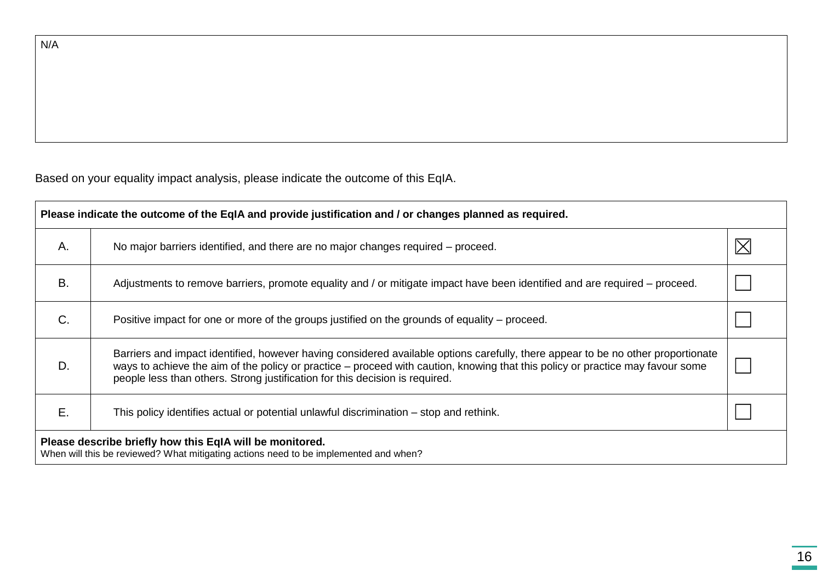N/A

Based on your equality impact analysis, please indicate the outcome of this EqIA.

| Please indicate the outcome of the EqIA and provide justification and / or changes planned as required.                                          |                                                                                                                                                                                                                                                                                                                                                    |  |  |  |  |  |
|--------------------------------------------------------------------------------------------------------------------------------------------------|----------------------------------------------------------------------------------------------------------------------------------------------------------------------------------------------------------------------------------------------------------------------------------------------------------------------------------------------------|--|--|--|--|--|
| Α.                                                                                                                                               | No major barriers identified, and there are no major changes required – proceed.                                                                                                                                                                                                                                                                   |  |  |  |  |  |
| <b>B.</b>                                                                                                                                        | Adjustments to remove barriers, promote equality and / or mitigate impact have been identified and are required – proceed.                                                                                                                                                                                                                         |  |  |  |  |  |
| C.                                                                                                                                               | Positive impact for one or more of the groups justified on the grounds of equality – proceed.                                                                                                                                                                                                                                                      |  |  |  |  |  |
| D.                                                                                                                                               | Barriers and impact identified, however having considered available options carefully, there appear to be no other proportionate<br>ways to achieve the aim of the policy or practice – proceed with caution, knowing that this policy or practice may favour some<br>people less than others. Strong justification for this decision is required. |  |  |  |  |  |
| Ε.                                                                                                                                               | This policy identifies actual or potential unlawful discrimination – stop and rethink.                                                                                                                                                                                                                                                             |  |  |  |  |  |
| Please describe briefly how this EqIA will be monitored.<br>When will this be reviewed? What mitigating actions need to be implemented and when? |                                                                                                                                                                                                                                                                                                                                                    |  |  |  |  |  |